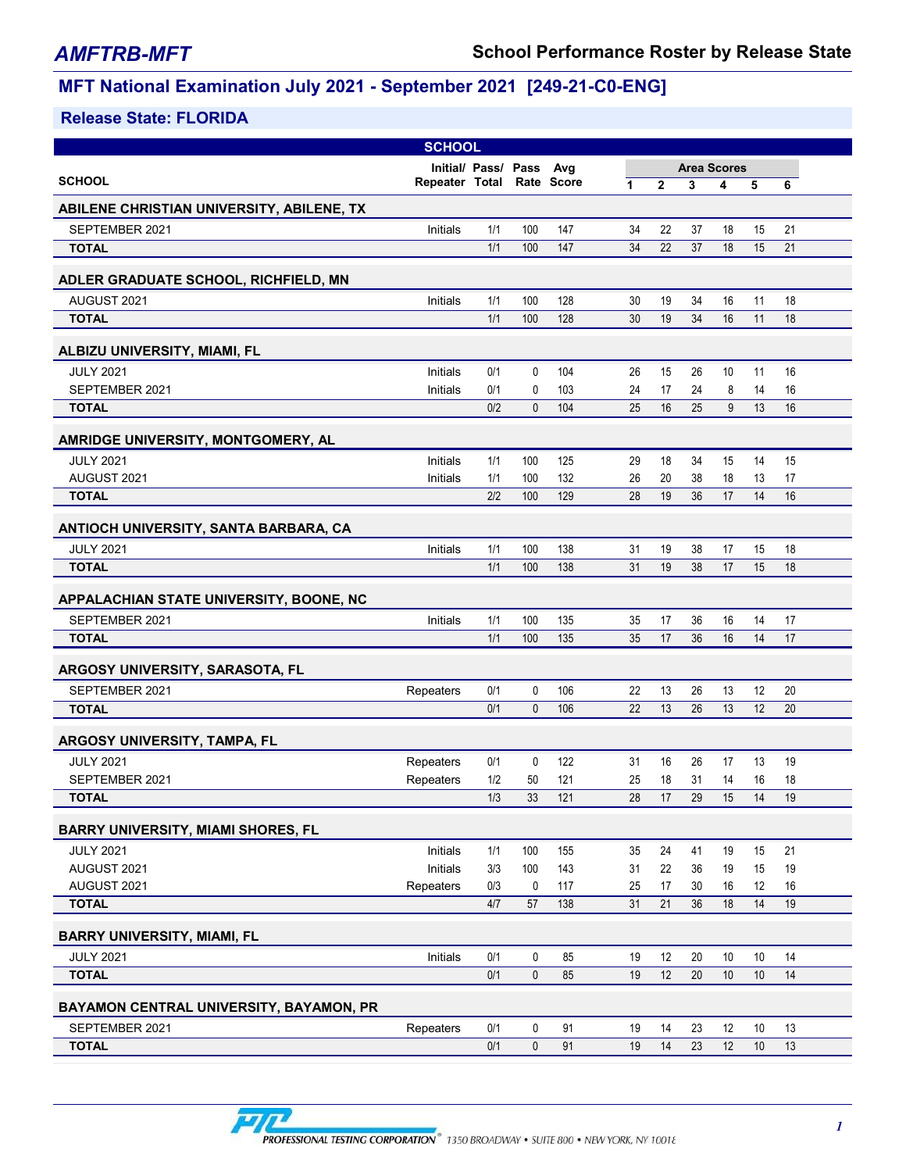| Initial/ Pass/ Pass<br><b>Area Scores</b><br>Avg<br><b>SCHOOL</b><br>Rate Score<br>Repeater Total<br>$\overline{2}$<br>1<br>3<br>5<br>4<br>6<br>ABILENE CHRISTIAN UNIVERSITY, ABILENE, TX<br>100<br>SEPTEMBER 2021<br>Initials<br>1/1<br>147<br>34<br>22<br>37<br>18<br>21<br>15<br>1/1<br>100<br>34<br>22<br>18<br>15<br>21<br>147<br>37<br><b>TOTAL</b><br>ADLER GRADUATE SCHOOL, RICHFIELD, MN<br>AUGUST 2021<br>Initials<br>1/1<br>100<br>128<br>30<br>19<br>34<br>16<br>11<br>18<br>1/1<br>34<br>16<br>11<br>100<br>128<br>30<br>19<br>18<br><b>TOTAL</b><br>ALBIZU UNIVERSITY, MIAMI, FL<br><b>JULY 2021</b><br>Initials<br>0/1<br>0<br>104<br>15<br>10<br>11<br>16<br>26<br>26<br>SEPTEMBER 2021<br>0/1<br>103<br>Initials<br>0<br>24<br>17<br>24<br>8<br>14<br>16<br>13<br>0/2<br>$\mathbf{0}$<br>104<br>25<br>16<br>25<br>9<br>16<br><b>TOTAL</b><br>AMRIDGE UNIVERSITY, MONTGOMERY, AL |
|--------------------------------------------------------------------------------------------------------------------------------------------------------------------------------------------------------------------------------------------------------------------------------------------------------------------------------------------------------------------------------------------------------------------------------------------------------------------------------------------------------------------------------------------------------------------------------------------------------------------------------------------------------------------------------------------------------------------------------------------------------------------------------------------------------------------------------------------------------------------------------------------------|
|                                                                                                                                                                                                                                                                                                                                                                                                                                                                                                                                                                                                                                                                                                                                                                                                                                                                                                  |
|                                                                                                                                                                                                                                                                                                                                                                                                                                                                                                                                                                                                                                                                                                                                                                                                                                                                                                  |
|                                                                                                                                                                                                                                                                                                                                                                                                                                                                                                                                                                                                                                                                                                                                                                                                                                                                                                  |
|                                                                                                                                                                                                                                                                                                                                                                                                                                                                                                                                                                                                                                                                                                                                                                                                                                                                                                  |
|                                                                                                                                                                                                                                                                                                                                                                                                                                                                                                                                                                                                                                                                                                                                                                                                                                                                                                  |
|                                                                                                                                                                                                                                                                                                                                                                                                                                                                                                                                                                                                                                                                                                                                                                                                                                                                                                  |
|                                                                                                                                                                                                                                                                                                                                                                                                                                                                                                                                                                                                                                                                                                                                                                                                                                                                                                  |
|                                                                                                                                                                                                                                                                                                                                                                                                                                                                                                                                                                                                                                                                                                                                                                                                                                                                                                  |
|                                                                                                                                                                                                                                                                                                                                                                                                                                                                                                                                                                                                                                                                                                                                                                                                                                                                                                  |
|                                                                                                                                                                                                                                                                                                                                                                                                                                                                                                                                                                                                                                                                                                                                                                                                                                                                                                  |
|                                                                                                                                                                                                                                                                                                                                                                                                                                                                                                                                                                                                                                                                                                                                                                                                                                                                                                  |
|                                                                                                                                                                                                                                                                                                                                                                                                                                                                                                                                                                                                                                                                                                                                                                                                                                                                                                  |
|                                                                                                                                                                                                                                                                                                                                                                                                                                                                                                                                                                                                                                                                                                                                                                                                                                                                                                  |
| <b>JULY 2021</b><br>Initials<br>1/1<br>100<br>125<br>29<br>18<br>34<br>15<br>14<br>15                                                                                                                                                                                                                                                                                                                                                                                                                                                                                                                                                                                                                                                                                                                                                                                                            |
| AUGUST 2021<br>100<br>132<br>26<br>Initials<br>1/1<br>20<br>38<br>18<br>17<br>13                                                                                                                                                                                                                                                                                                                                                                                                                                                                                                                                                                                                                                                                                                                                                                                                                 |
| 36<br><b>TOTAL</b><br>2/2<br>100<br>129<br>28<br>19<br>17<br>14<br>16                                                                                                                                                                                                                                                                                                                                                                                                                                                                                                                                                                                                                                                                                                                                                                                                                            |
| ANTIOCH UNIVERSITY, SANTA BARBARA, CA                                                                                                                                                                                                                                                                                                                                                                                                                                                                                                                                                                                                                                                                                                                                                                                                                                                            |
| <b>JULY 2021</b><br>Initials<br>100<br>1/1<br>138<br>31<br>19<br>38<br>17<br>18<br>15                                                                                                                                                                                                                                                                                                                                                                                                                                                                                                                                                                                                                                                                                                                                                                                                            |
| 1/1<br>100<br>138<br>31<br>19<br>38<br>17<br>15<br>18<br><b>TOTAL</b>                                                                                                                                                                                                                                                                                                                                                                                                                                                                                                                                                                                                                                                                                                                                                                                                                            |
| APPALACHIAN STATE UNIVERSITY, BOONE, NC                                                                                                                                                                                                                                                                                                                                                                                                                                                                                                                                                                                                                                                                                                                                                                                                                                                          |
| SEPTEMBER 2021<br>1/1<br>100<br>Initials<br>135<br>35<br>17<br>36<br>16<br>14<br>17                                                                                                                                                                                                                                                                                                                                                                                                                                                                                                                                                                                                                                                                                                                                                                                                              |
| 1/1<br>100<br>135<br>35<br>17<br>36<br>16<br>14<br>17<br><b>TOTAL</b>                                                                                                                                                                                                                                                                                                                                                                                                                                                                                                                                                                                                                                                                                                                                                                                                                            |
| ARGOSY UNIVERSITY, SARASOTA, FL                                                                                                                                                                                                                                                                                                                                                                                                                                                                                                                                                                                                                                                                                                                                                                                                                                                                  |
| 0/1<br>0<br>106<br>22<br>13<br>13<br>20<br>SEPTEMBER 2021<br>26<br>12<br>Repeaters                                                                                                                                                                                                                                                                                                                                                                                                                                                                                                                                                                                                                                                                                                                                                                                                               |
| 0/1<br>$\mathbf{0}$<br>13<br>13<br>12<br>106<br>22<br>26<br>20<br><b>TOTAL</b>                                                                                                                                                                                                                                                                                                                                                                                                                                                                                                                                                                                                                                                                                                                                                                                                                   |
| ARGOSY UNIVERSITY, TAMPA, FL                                                                                                                                                                                                                                                                                                                                                                                                                                                                                                                                                                                                                                                                                                                                                                                                                                                                     |
| <b>JULY 2021</b><br>0/1<br>0<br>122<br>Repeaters<br>31<br>16<br>26<br>17<br>13<br>19                                                                                                                                                                                                                                                                                                                                                                                                                                                                                                                                                                                                                                                                                                                                                                                                             |
| 1/2<br>121<br>25<br>18<br>31<br>SEPTEMBER 2021<br>Repeaters<br>50<br>14<br>16<br>18                                                                                                                                                                                                                                                                                                                                                                                                                                                                                                                                                                                                                                                                                                                                                                                                              |
| 1/3<br>33<br>121<br>29<br>15<br>14<br>19<br>28<br>17<br><b>TOTAL</b>                                                                                                                                                                                                                                                                                                                                                                                                                                                                                                                                                                                                                                                                                                                                                                                                                             |
| <b>BARRY UNIVERSITY, MIAMI SHORES, FL</b>                                                                                                                                                                                                                                                                                                                                                                                                                                                                                                                                                                                                                                                                                                                                                                                                                                                        |
| <b>JULY 2021</b><br>Initials<br>1/1<br>100<br>155<br>35<br>24<br>41<br>19<br>15<br>21                                                                                                                                                                                                                                                                                                                                                                                                                                                                                                                                                                                                                                                                                                                                                                                                            |
| AUGUST 2021<br>Initials<br>3/3<br>143<br>31<br>22<br>100<br>36<br>19<br>15<br>19                                                                                                                                                                                                                                                                                                                                                                                                                                                                                                                                                                                                                                                                                                                                                                                                                 |
| AUGUST 2021<br>Repeaters<br>0/3<br>0<br>117<br>25<br>17<br>30<br>16<br>12<br>16                                                                                                                                                                                                                                                                                                                                                                                                                                                                                                                                                                                                                                                                                                                                                                                                                  |
| 36<br>14<br><b>TOTAL</b><br>4/7<br>57<br>138<br>31<br>21<br>18<br>19                                                                                                                                                                                                                                                                                                                                                                                                                                                                                                                                                                                                                                                                                                                                                                                                                             |
| <b>BARRY UNIVERSITY, MIAMI, FL</b>                                                                                                                                                                                                                                                                                                                                                                                                                                                                                                                                                                                                                                                                                                                                                                                                                                                               |
| 20<br><b>JULY 2021</b><br>Initials<br>0/1<br>0<br>85<br>19<br>12<br>10<br>10<br>14                                                                                                                                                                                                                                                                                                                                                                                                                                                                                                                                                                                                                                                                                                                                                                                                               |
| 0/1<br>$\pmb{0}$<br>12<br>85<br>19<br>20<br>10<br>10<br>14<br><b>TOTAL</b>                                                                                                                                                                                                                                                                                                                                                                                                                                                                                                                                                                                                                                                                                                                                                                                                                       |
| BAYAMON CENTRAL UNIVERSITY, BAYAMON, PR                                                                                                                                                                                                                                                                                                                                                                                                                                                                                                                                                                                                                                                                                                                                                                                                                                                          |
| SEPTEMBER 2021<br>Repeaters<br>0/1<br>0<br>91<br>19<br>14<br>23<br>12<br>10<br>13                                                                                                                                                                                                                                                                                                                                                                                                                                                                                                                                                                                                                                                                                                                                                                                                                |
| 0/1<br>12<br>0<br>91<br>19<br>14<br>23<br>10<br>13<br><b>TOTAL</b>                                                                                                                                                                                                                                                                                                                                                                                                                                                                                                                                                                                                                                                                                                                                                                                                                               |

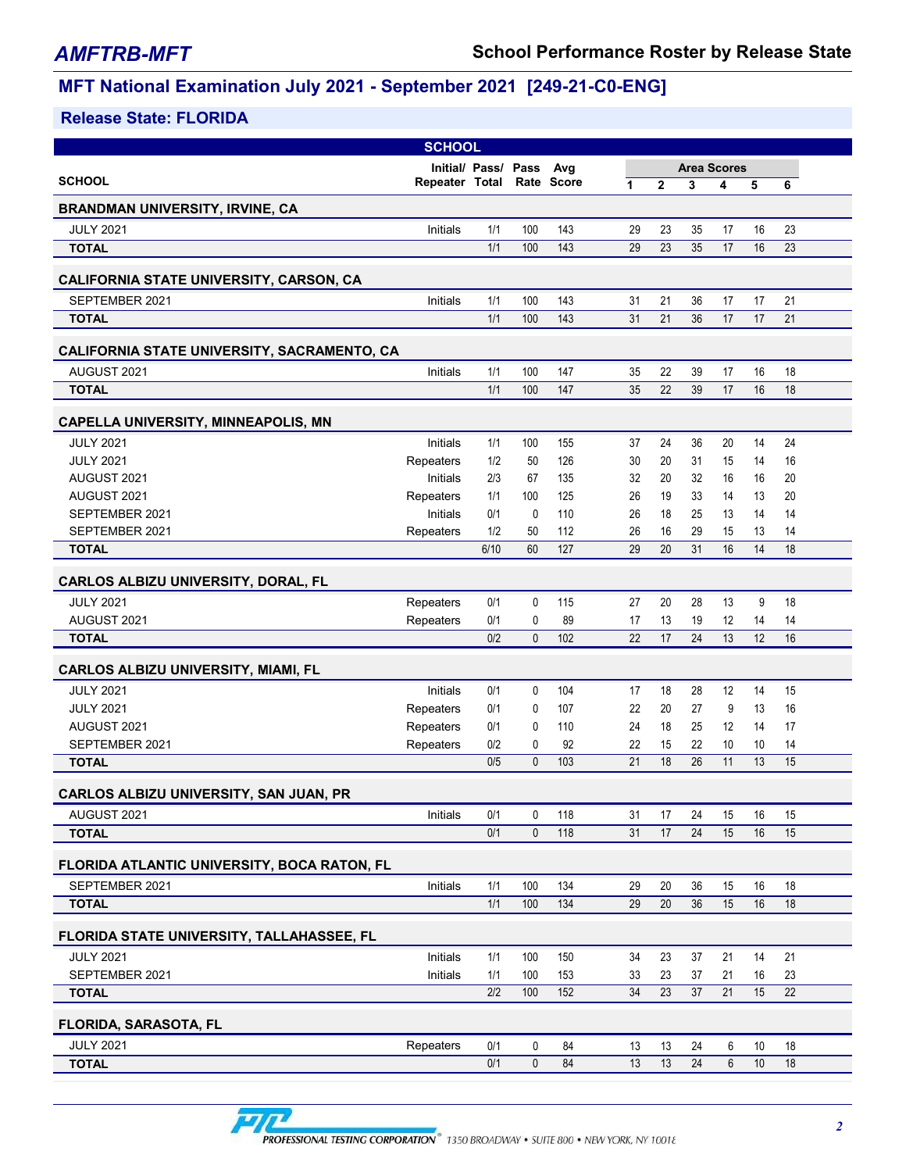|                                                                | <b>SCHOOL</b>          |                     |                   |            |          |                |                    |          |          |          |  |
|----------------------------------------------------------------|------------------------|---------------------|-------------------|------------|----------|----------------|--------------------|----------|----------|----------|--|
|                                                                |                        | Initial/ Pass/ Pass |                   | Avg        |          |                | <b>Area Scores</b> |          |          |          |  |
| <b>SCHOOL</b>                                                  | Repeater Total         |                     |                   | Rate Score | 1        | $\overline{2}$ | 3                  | 4        | 5        | 6        |  |
| <b>BRANDMAN UNIVERSITY, IRVINE, CA</b>                         |                        |                     |                   |            |          |                |                    |          |          |          |  |
| <b>JULY 2021</b>                                               | Initials               | 1/1                 | 100               | 143        | 29       | 23             | 35                 | 17       | 16       | 23       |  |
| <b>TOTAL</b>                                                   |                        | 1/1                 | 100               | 143        | 29       | 23             | 35                 | 17       | 16       | 23       |  |
| <b>CALIFORNIA STATE UNIVERSITY, CARSON, CA</b>                 |                        |                     |                   |            |          |                |                    |          |          |          |  |
| SEPTEMBER 2021                                                 | Initials               | 1/1                 | 100               | 143        | 31       | 21             | 36                 | 17       | 17       | 21       |  |
| <b>TOTAL</b>                                                   |                        | 1/1                 | 100               | 143        | 31       | 21             | 36                 | 17       | 17       | 21       |  |
| CALIFORNIA STATE UNIVERSITY, SACRAMENTO, CA                    |                        |                     |                   |            |          |                |                    |          |          |          |  |
| AUGUST 2021                                                    | Initials               | 1/1                 | 100               | 147        | 35       | 22             | 39                 | 17       | 16       | 18       |  |
| <b>TOTAL</b>                                                   |                        | 1/1                 | 100               | 147        | 35       | 22             | 39                 | 17       | 16       | 18       |  |
|                                                                |                        |                     |                   |            |          |                |                    |          |          |          |  |
| <b>CAPELLA UNIVERSITY, MINNEAPOLIS, MN</b><br><b>JULY 2021</b> | Initials               | 1/1                 | 100               |            |          | 24             | 36                 | 20       | 14       | 24       |  |
| <b>JULY 2021</b>                                               | Repeaters              | 1/2                 | 50                | 155<br>126 | 37<br>30 | 20             | 31                 | 15       | 14       | 16       |  |
| AUGUST 2021                                                    | Initials               | 2/3                 | 67                | 135        | 32       | 20             | 32                 | 16       | 16       | 20       |  |
| AUGUST 2021                                                    | Repeaters              | 1/1                 | 100               | 125        | 26       | 19             | 33                 | 14       | 13       | 20       |  |
| SEPTEMBER 2021                                                 | Initials               | 0/1                 | 0                 | 110        | 26       | 18             | 25                 | 13       | 14       | 14       |  |
| SEPTEMBER 2021                                                 | Repeaters              | 1/2                 | 50                | 112        | 26       | 16             | 29                 | 15       | 13       | 14       |  |
| <b>TOTAL</b>                                                   |                        | 6/10                | 60                | 127        | 29       | 20             | 31                 | 16       | 14       | 18       |  |
| CARLOS ALBIZU UNIVERSITY, DORAL, FL                            |                        |                     |                   |            |          |                |                    |          |          |          |  |
| <b>JULY 2021</b>                                               | Repeaters              | 0/1                 | 0                 | 115        | 27       | 20             | 28                 | 13       | 9        | 18       |  |
| AUGUST 2021                                                    | Repeaters              | 0/1                 | 0                 | 89         | 17       | 13             | 19                 | 12       | 14       | 14       |  |
| <b>TOTAL</b>                                                   |                        | 0/2                 | $\mathbf{0}$      | 102        | 22       | 17             | 24                 | 13       | 12       | 16       |  |
|                                                                |                        |                     |                   |            |          |                |                    |          |          |          |  |
| <b>CARLOS ALBIZU UNIVERSITY, MIAMI, FL</b>                     |                        |                     |                   |            |          |                |                    |          |          |          |  |
| <b>JULY 2021</b>                                               | Initials               | 0/1                 | 0                 | 104        | 17       | 18             | 28                 | 12       | 14       | 15       |  |
| <b>JULY 2021</b><br>AUGUST 2021                                | Repeaters              | 0/1<br>0/1          | 0                 | 107        | 22<br>24 | 20             | 27                 | 9        | 13       | 16       |  |
| SEPTEMBER 2021                                                 | Repeaters<br>Repeaters | 0/2                 | 0<br>0            | 110<br>92  | 22       | 18<br>15       | 25<br>22           | 12<br>10 | 14<br>10 | 17<br>14 |  |
| <b>TOTAL</b>                                                   |                        | 0/5                 | $\mathbf{0}$      | 103        | 21       | 18             | 26                 | 11       | 13       | 15       |  |
|                                                                |                        |                     |                   |            |          |                |                    |          |          |          |  |
| <b>CARLOS ALBIZU UNIVERSITY, SAN JUAN, PR</b>                  |                        |                     |                   |            |          |                |                    |          |          |          |  |
| AUGUST 2021<br><b>TOTAL</b>                                    | Initials               | 0/1<br>0/1          | 0<br>$\mathbf{0}$ | 118<br>118 | 31<br>31 | 17<br>17       | 24<br>24           | 15<br>15 | 16<br>16 | 15<br>15 |  |
|                                                                |                        |                     |                   |            |          |                |                    |          |          |          |  |
| FLORIDA ATLANTIC UNIVERSITY, BOCA RATON, FL                    |                        |                     |                   |            |          |                |                    |          |          |          |  |
| SEPTEMBER 2021                                                 | Initials               | 1/1                 | 100               | 134        | 29       | 20             | 36                 | 15       | 16       | 18       |  |
| <b>TOTAL</b>                                                   |                        | 1/1                 | 100               | 134        | 29       | $20\,$         | 36                 | 15       | 16       | 18       |  |
| <b>FLORIDA STATE UNIVERSITY, TALLAHASSEE, FL</b>               |                        |                     |                   |            |          |                |                    |          |          |          |  |
| <b>JULY 2021</b>                                               | Initials               | 1/1                 | 100               | 150        | 34       | 23             | 37                 | 21       | 14       | 21       |  |
| SEPTEMBER 2021                                                 | Initials               | 1/1                 | 100               | 153        | 33       | 23             | 37                 | 21       | 16       | 23       |  |
| <b>TOTAL</b>                                                   |                        | 2/2                 | 100               | 152        | 34       | 23             | 37                 | 21       | 15       | 22       |  |
| <b>FLORIDA, SARASOTA, FL</b>                                   |                        |                     |                   |            |          |                |                    |          |          |          |  |
| <b>JULY 2021</b>                                               | Repeaters              | 0/1                 | 0                 | 84         | 13       | 13             | 24                 | 6        | 10       | 18       |  |
| <b>TOTAL</b>                                                   |                        | 0/1                 | $\mathbf 0$       | 84         | 13       | 13             | 24                 | 6        | $10$     | 18       |  |
|                                                                |                        |                     |                   |            |          |                |                    |          |          |          |  |

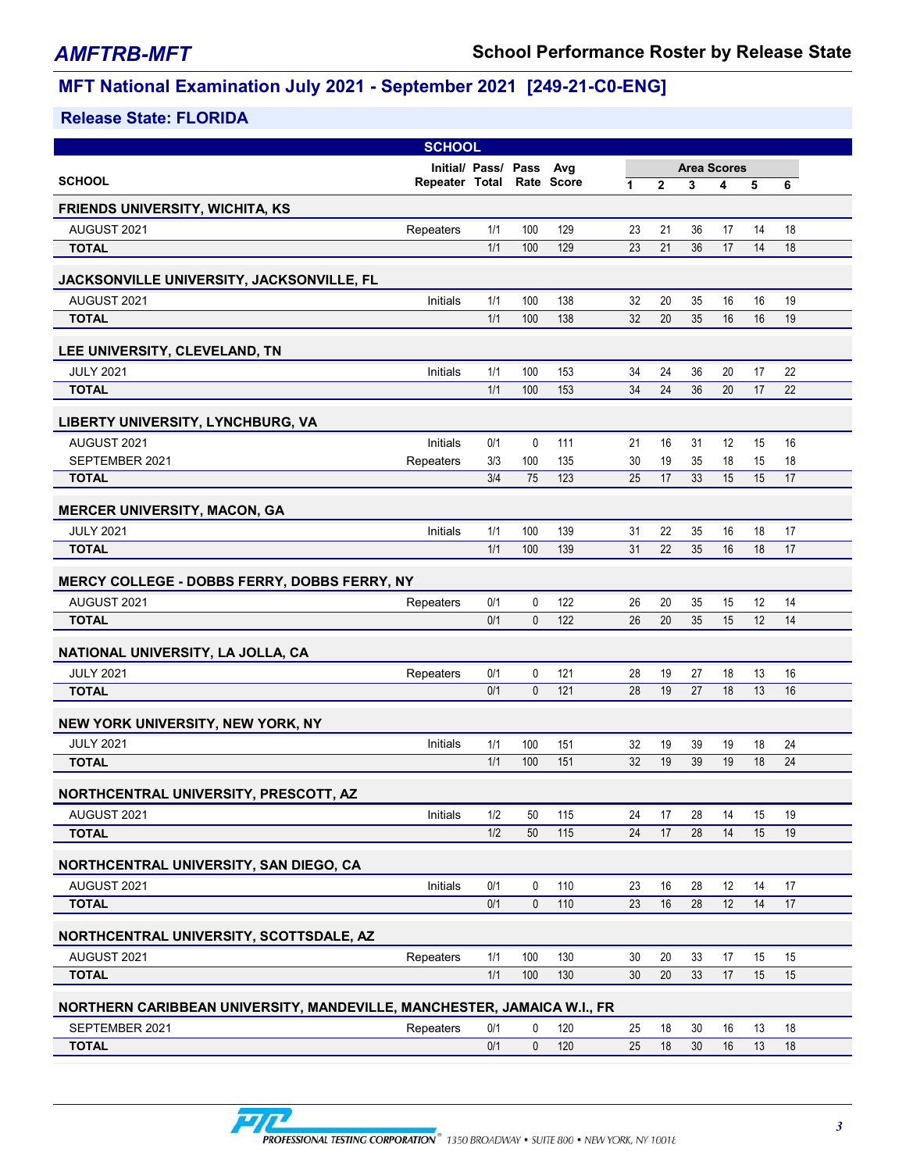|                                                                         | <b>SCHOOL</b>  |                         |                  |            |          |                |                    |          |          |          |  |
|-------------------------------------------------------------------------|----------------|-------------------------|------------------|------------|----------|----------------|--------------------|----------|----------|----------|--|
|                                                                         |                | Initial/ Pass/ Pass Avg |                  |            |          |                | <b>Area Scores</b> |          |          |          |  |
| <b>SCHOOL</b>                                                           | Repeater Total |                         |                  | Rate Score | 1        | $\overline{2}$ | 3                  | 4        | 5        | 6        |  |
| <b>FRIENDS UNIVERSITY, WICHITA, KS</b>                                  |                |                         |                  |            |          |                |                    |          |          |          |  |
| AUGUST 2021                                                             | Repeaters      | 1/1                     | 100              | 129        | 23       | 21             | 36                 | 17       | 14       | 18       |  |
| <b>TOTAL</b>                                                            |                | 1/1                     | 100              | 129        | 23       | 21             | 36                 | 17       | 14       | 18       |  |
|                                                                         |                |                         |                  |            |          |                |                    |          |          |          |  |
| JACKSONVILLE UNIVERSITY, JACKSONVILLE, FL                               |                |                         |                  |            |          |                |                    |          |          |          |  |
| AUGUST 2021<br><b>TOTAL</b>                                             | Initials       | 1/1<br>1/1              | 100<br>100       | 138<br>138 | 32<br>32 | 20<br>20       | 35<br>35           | 16<br>16 | 16<br>16 | 19<br>19 |  |
|                                                                         |                |                         |                  |            |          |                |                    |          |          |          |  |
| LEE UNIVERSITY, CLEVELAND, TN                                           |                |                         |                  |            |          |                |                    |          |          |          |  |
| <b>JULY 2021</b>                                                        | Initials       | 1/1                     | 100              | 153        | 34       | 24             | 36                 | 20       | 17       | 22       |  |
| <b>TOTAL</b>                                                            |                | 1/1                     | 100              | 153        | 34       | 24             | 36                 | 20       | 17       | 22       |  |
|                                                                         |                |                         |                  |            |          |                |                    |          |          |          |  |
| LIBERTY UNIVERSITY, LYNCHBURG, VA                                       |                |                         |                  |            |          |                |                    |          |          |          |  |
| AUGUST 2021                                                             | Initials       | 0/1                     | $\mathbf 0$      | 111<br>135 | 21       | 16             | 31                 | 12       | 15       | 16       |  |
| SEPTEMBER 2021<br><b>TOTAL</b>                                          | Repeaters      | 3/3<br>3/4              | 100<br>75        | 123        | 30<br>25 | 19<br>17       | 35<br>33           | 18<br>15 | 15<br>15 | 18<br>17 |  |
|                                                                         |                |                         |                  |            |          |                |                    |          |          |          |  |
| <b>MERCER UNIVERSITY, MACON, GA</b>                                     |                |                         |                  |            |          |                |                    |          |          |          |  |
| <b>JULY 2021</b>                                                        | Initials       | 1/1                     | 100              | 139        | 31       | 22             | 35                 | 16       | 18       | 17       |  |
| <b>TOTAL</b>                                                            |                | 1/1                     | 100              | 139        | 31       | 22             | 35                 | 16       | 18       | 17       |  |
|                                                                         |                |                         |                  |            |          |                |                    |          |          |          |  |
| MERCY COLLEGE - DOBBS FERRY, DOBBS FERRY, NY                            |                |                         |                  |            |          |                |                    |          |          |          |  |
| AUGUST 2021                                                             | Repeaters      | 0/1                     | $\mathbf 0$      | 122        | 26       | 20             | 35                 | 15       | 12       | 14       |  |
| <b>TOTAL</b>                                                            |                | 0/1                     | $\mathbf{0}$     | 122        | 26       | 20             | 35                 | 15       | 12       | 14       |  |
| NATIONAL UNIVERSITY, LA JOLLA, CA                                       |                |                         |                  |            |          |                |                    |          |          |          |  |
| <b>JULY 2021</b>                                                        | Repeaters      | 0/1                     | 0                | 121        | 28       | 19             | 27                 | 18       | 13       | 16       |  |
| <b>TOTAL</b>                                                            |                | 0/1                     | $\mathbf{0}$     | 121        | 28       | 19             | 27                 | 18       | 13       | 16       |  |
|                                                                         |                |                         |                  |            |          |                |                    |          |          |          |  |
| NEW YORK UNIVERSITY, NEW YORK, NY                                       |                |                         |                  |            |          |                |                    |          |          |          |  |
| <b>JULY 2021</b>                                                        | Initials       | 1/1                     | 100              | 151        | 32       | 19             | 39                 | 19       | 18       | 24       |  |
| <b>TOTAL</b>                                                            |                | 1/1                     | 100              | 151        | 32       | 19             | 39                 | 19       | 18       | 24       |  |
| NORTHCENTRAL UNIVERSITY, PRESCOTT, AZ                                   |                |                         |                  |            |          |                |                    |          |          |          |  |
| AUGUST 2021                                                             | Initials       | 1/2                     | 50               | 115        | 24       | 17             | 28                 | 14       | 15       | 19       |  |
| <b>TOTAL</b>                                                            |                | 1/2                     | 50               | 115        | 24       | 17             | 28                 | 14       | 15       | 19       |  |
|                                                                         |                |                         |                  |            |          |                |                    |          |          |          |  |
| NORTHCENTRAL UNIVERSITY, SAN DIEGO, CA                                  |                |                         |                  |            |          |                |                    |          |          |          |  |
| AUGUST 2021<br><b>TOTAL</b>                                             | Initials       | 0/1<br>0/1              | 0<br>$\mathbf 0$ | 110<br>110 | 23<br>23 | 16<br>16       | 28<br>28           | 12<br>12 | 14<br>14 | 17<br>17 |  |
|                                                                         |                |                         |                  |            |          |                |                    |          |          |          |  |
| NORTHCENTRAL UNIVERSITY, SCOTTSDALE, AZ                                 |                |                         |                  |            |          |                |                    |          |          |          |  |
| AUGUST 2021                                                             | Repeaters      | 1/1                     | 100              | 130        | 30       | 20             | 33                 | 17       | 15       | 15       |  |
| <b>TOTAL</b>                                                            |                | 1/1                     | 100              | 130        | 30       | 20             | 33                 | 17       | 15       | 15       |  |
|                                                                         |                |                         |                  |            |          |                |                    |          |          |          |  |
| NORTHERN CARIBBEAN UNIVERSITY, MANDEVILLE, MANCHESTER, JAMAICA W.I., FR |                |                         |                  |            |          |                |                    |          |          |          |  |
| SEPTEMBER 2021                                                          | Repeaters      | 0/1<br>0/1              | 0                | 120<br>120 | 25       | 18<br>18       | 30<br>30           | 16<br>16 | 13<br>13 | 18<br>18 |  |
| <b>TOTAL</b>                                                            |                |                         | $\mathbf 0$      |            | 25       |                |                    |          |          |          |  |

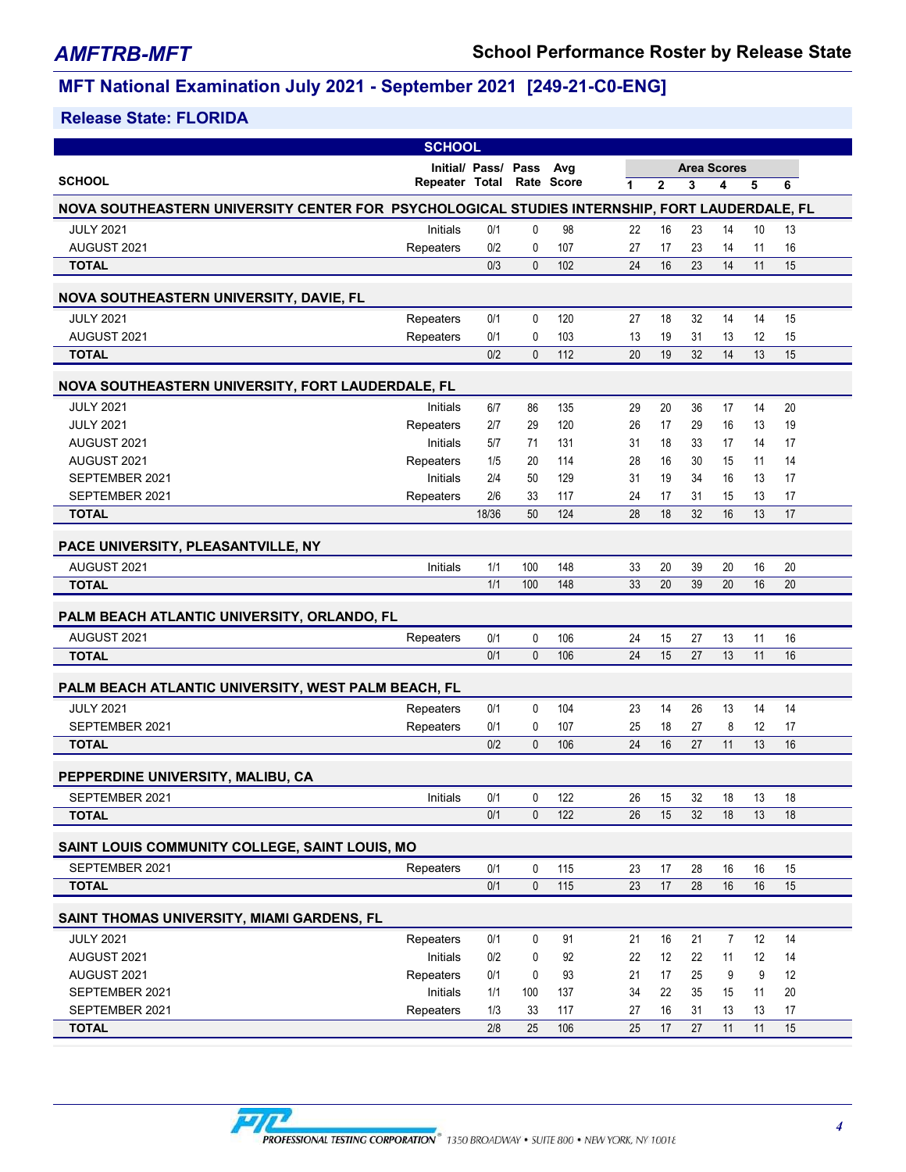|                                                                                               | <b>SCHOOL</b>             |                     |              |                   |                 |              |    |                    |    |    |
|-----------------------------------------------------------------------------------------------|---------------------------|---------------------|--------------|-------------------|-----------------|--------------|----|--------------------|----|----|
|                                                                                               |                           | Initial/ Pass/ Pass |              | Avg               |                 |              |    | <b>Area Scores</b> |    |    |
| <b>SCHOOL</b>                                                                                 | Repeater Total Rate Score |                     |              |                   | 1               | $\mathbf{2}$ | 3  | 4                  | 5  | 6  |
| NOVA SOUTHEASTERN UNIVERSITY CENTER FOR PSYCHOLOGICAL STUDIES INTERNSHIP, FORT LAUDERDALE, FL |                           |                     |              |                   |                 |              |    |                    |    |    |
| <b>JULY 2021</b>                                                                              | Initials                  | 0/1                 | 0            | 98                | 22              | 16           | 23 | 14                 | 10 | 13 |
| AUGUST 2021                                                                                   | Repeaters                 | 0/2                 | 0            | 107               | 27              | 17           | 23 | 14                 | 11 | 16 |
| <b>TOTAL</b>                                                                                  |                           | 0/3                 | $\mathbf{0}$ | 102               | 24              | 16           | 23 | 14                 | 11 | 15 |
| <b>NOVA SOUTHEASTERN UNIVERSITY, DAVIE, FL</b>                                                |                           |                     |              |                   |                 |              |    |                    |    |    |
| <b>JULY 2021</b>                                                                              | Repeaters                 | 0/1                 | 0            | 120               | 27              | 18           | 32 | 14                 | 14 | 15 |
| AUGUST 2021                                                                                   | Repeaters                 | 0/1                 | 0            | 103               | 13              | 19           | 31 | 13                 | 12 | 15 |
| <b>TOTAL</b>                                                                                  |                           | 0/2                 | $\mathbf{0}$ | 112               | 20              | 19           | 32 | 14                 | 13 | 15 |
| NOVA SOUTHEASTERN UNIVERSITY, FORT LAUDERDALE, FL                                             |                           |                     |              |                   |                 |              |    |                    |    |    |
| <b>JULY 2021</b>                                                                              | Initials                  | 6/7                 | 86           | 135               | 29              | 20           | 36 | 17                 | 14 | 20 |
| <b>JULY 2021</b>                                                                              | Repeaters                 | 2/7                 | 29           | 120               | 26              | 17           | 29 | 16                 | 13 | 19 |
| AUGUST 2021                                                                                   | Initials                  | 5/7                 | 71           | 131               | 31              | 18           | 33 | 17                 | 14 | 17 |
| AUGUST 2021                                                                                   | Repeaters                 | 1/5                 | 20           | 114               | 28              | 16           | 30 | 15                 | 11 | 14 |
| SEPTEMBER 2021                                                                                | Initials                  | 2/4                 | 50           | 129               | 31              | 19           | 34 | 16                 | 13 | 17 |
| SEPTEMBER 2021                                                                                | Repeaters                 | 2/6                 | 33           | 117               | 24              | 17           | 31 | 15                 | 13 | 17 |
| <b>TOTAL</b>                                                                                  |                           | 18/36               | 50           | 124               | 28              | 18           | 32 | 16                 | 13 | 17 |
| PACE UNIVERSITY, PLEASANTVILLE, NY                                                            |                           |                     |              |                   |                 |              |    |                    |    |    |
| AUGUST 2021                                                                                   | Initials                  | 1/1                 | 100          | 148               | 33              | 20           | 39 | 20                 | 16 | 20 |
| <b>TOTAL</b>                                                                                  |                           | 1/1                 | 100          | 148               | 33              | 20           | 39 | 20                 | 16 | 20 |
| PALM BEACH ATLANTIC UNIVERSITY, ORLANDO, FL                                                   |                           |                     |              |                   |                 |              |    |                    |    |    |
| AUGUST 2021                                                                                   | Repeaters                 | 0/1                 | 0            | 106               | 24              | 15           | 27 | 13                 | 11 | 16 |
| <b>TOTAL</b>                                                                                  |                           | 0/1                 | $\mathbf{0}$ | 106               | 24              | 15           | 27 | 13                 | 11 | 16 |
| PALM BEACH ATLANTIC UNIVERSITY, WEST PALM BEACH, FL                                           |                           |                     |              |                   |                 |              |    |                    |    |    |
| <b>JULY 2021</b>                                                                              | Repeaters                 | 0/1                 | 0            | 104               | 23              | 14           | 26 | 13                 | 14 | 14 |
| SEPTEMBER 2021                                                                                | Repeaters                 | 0/1                 | 0            | 107               | 25              | 18           | 27 | 8                  | 12 | 17 |
| <b>TOTAL</b>                                                                                  |                           | 0/2                 | $\mathbf{0}$ | 106               | 24              | 16           | 27 | 11                 | 13 | 16 |
| PEPPERDINE UNIVERSITY, MALIBU, CA                                                             |                           |                     |              |                   |                 |              |    |                    |    |    |
| SEPTEMBER 2021                                                                                | Initials                  | 0/1                 | 0            | 122               | 26              | 15           | 32 | 18                 | 13 | 18 |
| <b>TOTAL</b>                                                                                  |                           | 0/1                 | 0            | 122               | 26              | 15           | 32 | 18                 | 13 | 18 |
| SAINT LOUIS COMMUNITY COLLEGE, SAINT LOUIS, MO                                                |                           |                     |              |                   |                 |              |    |                    |    |    |
| SEPTEMBER 2021                                                                                | Repeaters                 | 0/1                 | 0            | 115               | 23              | 17           | 28 | 16                 | 16 | 15 |
| <b>TOTAL</b>                                                                                  |                           | 0/1                 | $\mathbf 0$  | $\frac{115}{115}$ | 23              | 17           | 28 | 16                 | 16 | 15 |
| SAINT THOMAS UNIVERSITY, MIAMI GARDENS, FL                                                    |                           |                     |              |                   |                 |              |    |                    |    |    |
| <b>JULY 2021</b>                                                                              | Repeaters                 | 0/1                 | 0            | 91                | 21              | 16           | 21 | $\overline{7}$     | 12 | 14 |
| AUGUST 2021                                                                                   | Initials                  | 0/2                 | 0            | 92                | 22              | 12           | 22 | 11                 | 12 | 14 |
| AUGUST 2021                                                                                   | Repeaters                 | 0/1                 | 0            | 93                | 21              | 17           | 25 | 9                  | 9  | 12 |
| SEPTEMBER 2021                                                                                | Initials                  | 1/1                 | 100          | 137               | 34              | 22           | 35 | 15                 | 11 | 20 |
| SEPTEMBER 2021                                                                                | Repeaters                 | 1/3                 | 33           | 117               | 27              | 16           | 31 | 13                 | 13 | 17 |
| <b>TOTAL</b>                                                                                  |                           | 2/8                 | 25           | 106               | $\overline{25}$ | 17           | 27 | 11                 | 11 | 15 |

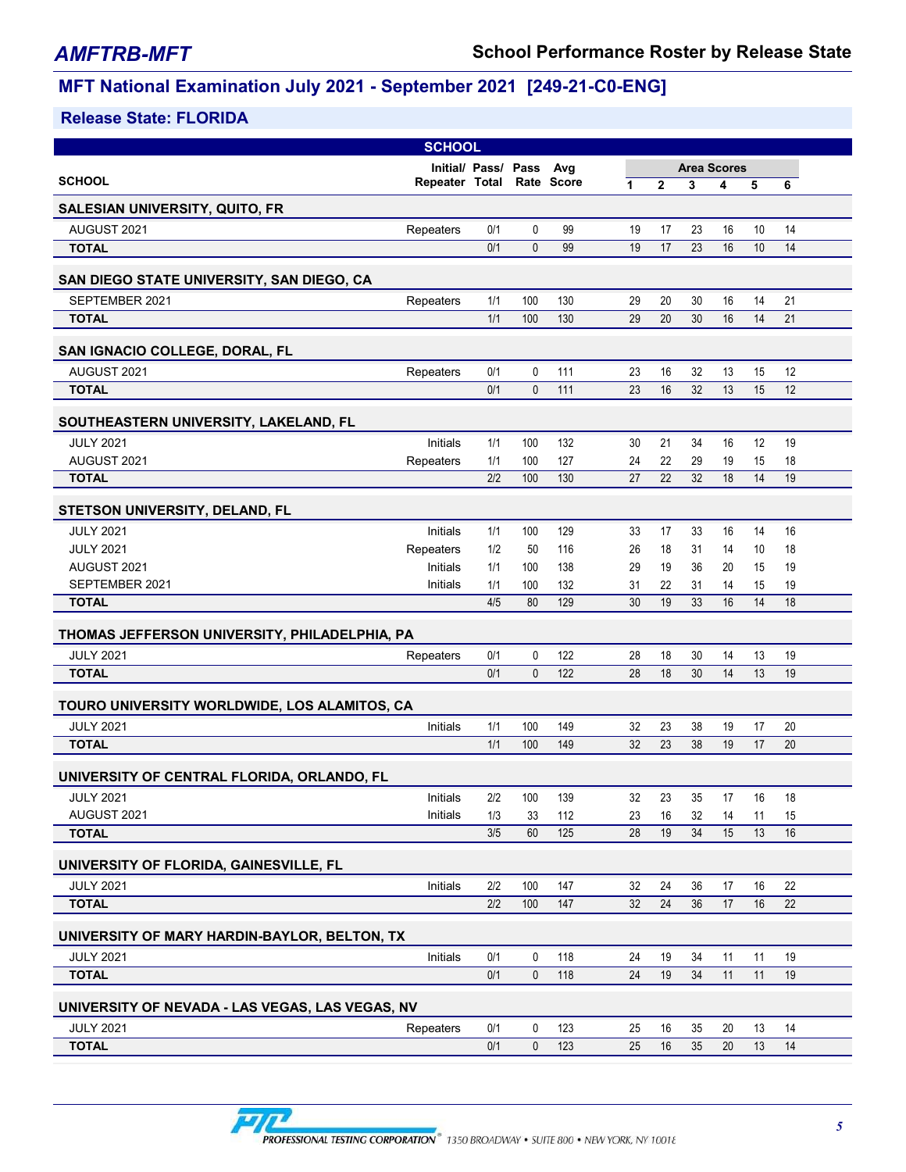|                                                 | <b>SCHOOL</b>  |                         |              |            |    |                |                    |    |    |    |  |
|-------------------------------------------------|----------------|-------------------------|--------------|------------|----|----------------|--------------------|----|----|----|--|
|                                                 |                | Initial/ Pass/ Pass Avg |              |            |    |                | <b>Area Scores</b> |    |    |    |  |
| <b>SCHOOL</b>                                   | Repeater Total |                         |              | Rate Score | 1  | $\overline{2}$ | 3                  | 4  | 5  | 6  |  |
| SALESIAN UNIVERSITY, QUITO, FR                  |                |                         |              |            |    |                |                    |    |    |    |  |
| AUGUST 2021                                     | Repeaters      | 0/1                     | 0            | 99         | 19 | 17             | 23                 | 16 | 10 | 14 |  |
| <b>TOTAL</b>                                    |                | 0/1                     | $\mathbf{0}$ | 99         | 19 | 17             | 23                 | 16 | 10 | 14 |  |
| SAN DIEGO STATE UNIVERSITY, SAN DIEGO, CA       |                |                         |              |            |    |                |                    |    |    |    |  |
| SEPTEMBER 2021                                  | Repeaters      | 1/1                     | 100          | 130        | 29 | 20             | 30                 | 16 | 14 | 21 |  |
| <b>TOTAL</b>                                    |                | 1/1                     | 100          | 130        | 29 | 20             | 30                 | 16 | 14 | 21 |  |
| SAN IGNACIO COLLEGE, DORAL, FL                  |                |                         |              |            |    |                |                    |    |    |    |  |
| AUGUST 2021                                     | Repeaters      | 0/1                     | 0            | 111        | 23 | 16             | 32                 | 13 | 15 | 12 |  |
| <b>TOTAL</b>                                    |                | 0/1                     | $\mathbf{0}$ | 111        | 23 | 16             | 32                 | 13 | 15 | 12 |  |
| SOUTHEASTERN UNIVERSITY, LAKELAND, FL           |                |                         |              |            |    |                |                    |    |    |    |  |
| <b>JULY 2021</b>                                | Initials       | 1/1                     | 100          | 132        | 30 | 21             | 34                 | 16 | 12 | 19 |  |
| AUGUST 2021                                     | Repeaters      | 1/1                     | 100          | 127        | 24 | 22             | 29                 | 19 | 15 | 18 |  |
| <b>TOTAL</b>                                    |                | 2/2                     | 100          | 130        | 27 | 22             | 32                 | 18 | 14 | 19 |  |
| STETSON UNIVERSITY, DELAND, FL                  |                |                         |              |            |    |                |                    |    |    |    |  |
| <b>JULY 2021</b>                                | Initials       | 1/1                     | 100          | 129        | 33 | 17             | 33                 | 16 | 14 | 16 |  |
| <b>JULY 2021</b>                                | Repeaters      | 1/2                     | 50           | 116        | 26 | 18             | 31                 | 14 | 10 | 18 |  |
| AUGUST 2021                                     | Initials       | 1/1                     | 100          | 138        | 29 | 19             | 36                 | 20 | 15 | 19 |  |
| SEPTEMBER 2021                                  | Initials       | 1/1                     | 100          | 132        | 31 | 22             | 31                 | 14 | 15 | 19 |  |
| <b>TOTAL</b>                                    |                | 4/5                     | 80           | 129        | 30 | 19             | 33                 | 16 | 14 | 18 |  |
| THOMAS JEFFERSON UNIVERSITY, PHILADELPHIA, PA   |                |                         |              |            |    |                |                    |    |    |    |  |
| <b>JULY 2021</b>                                | Repeaters      | 0/1                     | 0            | 122        | 28 | 18             | 30                 | 14 | 13 | 19 |  |
| <b>TOTAL</b>                                    |                | 0/1                     | $\mathbf{0}$ | 122        | 28 | 18             | 30                 | 14 | 13 | 19 |  |
| TOURO UNIVERSITY WORLDWIDE, LOS ALAMITOS, CA    |                |                         |              |            |    |                |                    |    |    |    |  |
| <b>JULY 2021</b>                                | Initials       | 1/1                     | 100          | 149        | 32 | 23             | 38                 | 19 | 17 | 20 |  |
| <b>TOTAL</b>                                    |                | 1/1                     | 100          | 149        | 32 | 23             | 38                 | 19 | 17 | 20 |  |
| UNIVERSITY OF CENTRAL FLORIDA, ORLANDO, FL      |                |                         |              |            |    |                |                    |    |    |    |  |
| <b>JULY 2021</b>                                | Initials       | 2/2                     | 100          | 139        | 32 | 23             | 35                 | 17 | 16 | 18 |  |
| AUGUST 2021                                     | Initials       | 1/3                     | 33           | 112        | 23 | 16             | 32                 | 14 | 11 | 15 |  |
| <b>TOTAL</b>                                    |                | 3/5                     | 60           | 125        | 28 | 19             | 34                 | 15 | 13 | 16 |  |
| UNIVERSITY OF FLORIDA, GAINESVILLE, FL          |                |                         |              |            |    |                |                    |    |    |    |  |
| <b>JULY 2021</b>                                | Initials       | 2/2                     | 100          | 147        | 32 | 24             | 36                 | 17 | 16 | 22 |  |
| <b>TOTAL</b>                                    |                | 2/2                     | 100          | 147        | 32 | 24             | 36                 | 17 | 16 | 22 |  |
| UNIVERSITY OF MARY HARDIN-BAYLOR, BELTON, TX    |                |                         |              |            |    |                |                    |    |    |    |  |
| <b>JULY 2021</b>                                | Initials       | 0/1                     | 0            | 118        | 24 | 19             | 34                 | 11 | 11 | 19 |  |
| <b>TOTAL</b>                                    |                | 0/1                     | 0            | 118        | 24 | 19             | 34                 | 11 | 11 | 19 |  |
| UNIVERSITY OF NEVADA - LAS VEGAS, LAS VEGAS, NV |                |                         |              |            |    |                |                    |    |    |    |  |
| <b>JULY 2021</b>                                | Repeaters      | 0/1                     | 0            | 123        | 25 | 16             | 35                 | 20 | 13 | 14 |  |
| <b>TOTAL</b>                                    |                | 0/1                     | $\mathbf 0$  | 123        | 25 | 16             | 35                 | 20 | 13 | 14 |  |
|                                                 |                |                         |              |            |    |                |                    |    |    |    |  |

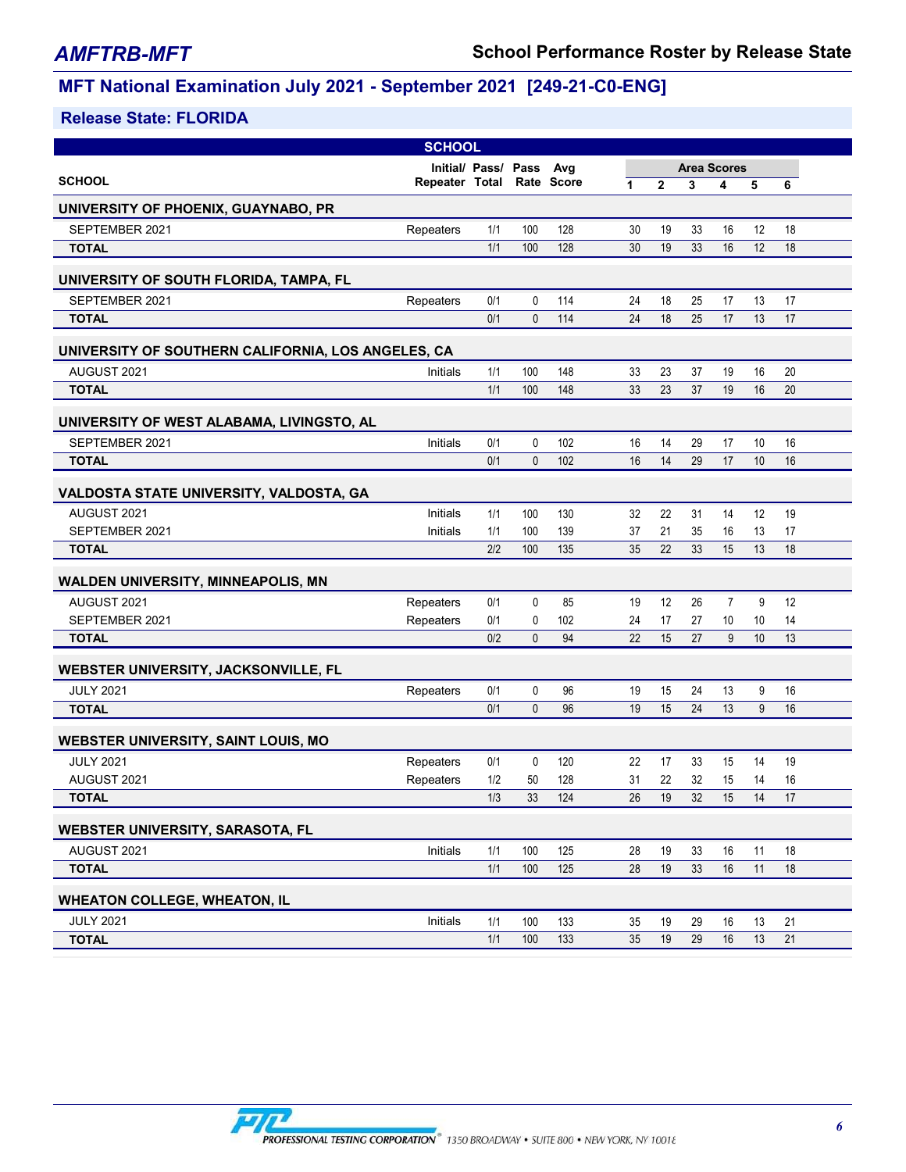|                                                    | <b>SCHOOL</b>             |     |                |                  |    |                |    |                    |    |    |
|----------------------------------------------------|---------------------------|-----|----------------|------------------|----|----------------|----|--------------------|----|----|
|                                                    | Initial/ Pass/ Pass       |     |                | Avg              |    |                |    | <b>Area Scores</b> |    |    |
| <b>SCHOOL</b>                                      | Repeater Total Rate Score |     |                |                  | 1  | $\overline{2}$ | 3  | 4                  | 5  | 6  |
| UNIVERSITY OF PHOENIX, GUAYNABO, PR                |                           |     |                |                  |    |                |    |                    |    |    |
| SEPTEMBER 2021                                     | Repeaters                 | 1/1 | 100            | 128              | 30 | 19             | 33 | 16                 | 12 | 18 |
| <b>TOTAL</b>                                       |                           | 1/1 | 100            | 128              | 30 | 19             | 33 | 16                 | 12 | 18 |
| UNIVERSITY OF SOUTH FLORIDA, TAMPA, FL             |                           |     |                |                  |    |                |    |                    |    |    |
| SEPTEMBER 2021                                     | Repeaters                 | 0/1 | 0              | 114              | 24 | 18             | 25 | 17                 | 13 | 17 |
| <b>TOTAL</b>                                       |                           | 0/1 | $\mathbf{0}$   | 114              | 24 | 18             | 25 | 17                 | 13 | 17 |
| UNIVERSITY OF SOUTHERN CALIFORNIA, LOS ANGELES, CA |                           |     |                |                  |    |                |    |                    |    |    |
| AUGUST 2021                                        | Initials                  | 1/1 | 100            | 148              | 33 | 23             | 37 | 19                 | 16 | 20 |
| <b>TOTAL</b>                                       |                           | 1/1 | 100            | 148              | 33 | 23             | 37 | 19                 | 16 | 20 |
| UNIVERSITY OF WEST ALABAMA, LIVINGSTO, AL          |                           |     |                |                  |    |                |    |                    |    |    |
| SEPTEMBER 2021                                     | Initials                  | 0/1 | 0              | 102              | 16 | 14             | 29 | 17                 | 10 | 16 |
| <b>TOTAL</b>                                       |                           | 0/1 | 0              | 102              | 16 | 14             | 29 | 17                 | 10 | 16 |
| VALDOSTA STATE UNIVERSITY, VALDOSTA, GA            |                           |     |                |                  |    |                |    |                    |    |    |
| AUGUST 2021                                        | Initials                  | 1/1 | 100            | 130              | 32 | 22             | 31 | 14                 | 12 | 19 |
| SEPTEMBER 2021                                     | Initials                  | 1/1 | 100            | 139              | 37 | 21             | 35 | 16                 | 13 | 17 |
| <b>TOTAL</b>                                       |                           | 2/2 | 100            | 135              | 35 | 22             | 33 | 15                 | 13 | 18 |
|                                                    |                           |     |                |                  |    |                |    |                    |    |    |
| <b>WALDEN UNIVERSITY, MINNEAPOLIS, MN</b>          |                           |     |                |                  |    |                |    |                    |    |    |
| AUGUST 2021                                        | Repeaters                 | 0/1 | 0              | 85               | 19 | 12             | 26 | $\overline{7}$     | 9  | 12 |
| SEPTEMBER 2021                                     | Repeaters                 | 0/1 | 0              | 102              | 24 | 17             | 27 | 10                 | 10 | 14 |
| <b>TOTAL</b>                                       |                           | 0/2 | $\mathbf{0}$   | 94               | 22 | 15             | 27 | 9                  | 10 | 13 |
| WEBSTER UNIVERSITY, JACKSONVILLE, FL               |                           |     |                |                  |    |                |    |                    |    |    |
| <b>JULY 2021</b>                                   | Repeaters                 | 0/1 | 0              | 96               | 19 | 15             | 24 | 13                 | 9  | 16 |
| <b>TOTAL</b>                                       |                           | 0/1 | $\overline{0}$ | 96               | 19 | 15             | 24 | 13                 | 9  | 16 |
| <b>WEBSTER UNIVERSITY, SAINT LOUIS, MO</b>         |                           |     |                |                  |    |                |    |                    |    |    |
| <b>JULY 2021</b>                                   | Repeaters                 | 0/1 | 0              | 120              | 22 | 17             | 33 | 15                 | 14 | 19 |
| AUGUST 2021                                        | Repeaters                 | 1/2 | 50             | 128              | 31 | 22             | 32 | 15                 | 14 | 16 |
| <b>TOTAL</b>                                       |                           | 1/3 | 33             | 124              | 26 | 19             | 32 | 15                 | 14 | 17 |
| <b>WEBSTER UNIVERSITY, SARASOTA, FL</b>            |                           |     |                |                  |    |                |    |                    |    |    |
| AUGUST 2021                                        | Initials                  | 1/1 | 100            | 125              | 28 | 19             | 33 | 16                 | 11 | 18 |
| <b>TOTAL</b>                                       |                           | 1/1 | 100            | 125              | 28 | 19             | 33 | 16                 | 11 | 18 |
| <b>WHEATON COLLEGE, WHEATON, IL</b>                |                           |     |                |                  |    |                |    |                    |    |    |
| <b>JULY 2021</b>                                   | Initials                  | 1/1 | 100            | 133              | 35 | 19             | 29 | 16                 | 13 | 21 |
| <b>TOTAL</b>                                       |                           | 1/1 | 100            | $\overline{133}$ | 35 | 19             | 29 | 16                 | 13 | 21 |